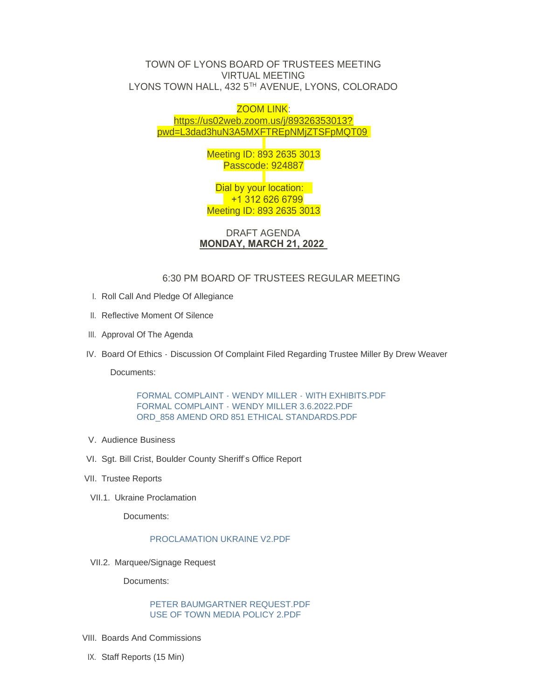## TOWN OF LYONS BOARD OF TRUSTEES MEETING VIRTUAL MEETING LYONS TOWN HALL, 432 5 $^{\text{\tiny{\textsf{TH}}}}$  AVENUE, LYONS, COLORADO

## ZOOM LINK: https://us02web.zoom.us/j/89326353013? pw[d=L3dad3huN3A5MXFTREpNMjZTSFpMQT09](https://us02web.zoom.us/j/89326353013?pwd=L3dad3huN3A5MXFTREpNMjZTSFpMQT09)

Meeting ID: 893 2635 3013 Passcode: 924887

Dial by your location: +1 312 626 6799 Meeting ID: 893 2635 3013

DRAFT AGENDA **MONDAY, MARCH 21, 2022** 

# 6:30 PM BOARD OF TRUSTEES REGULAR MEETING

- I. Roll Call And Pledge Of Allegiance
- II. Reflective Moment Of Silence
- III. Approval Of The Agenda
- IV. Board Of Ethics Discussion Of Complaint Filed Regarding Trustee Miller By Drew Weaver

Documents:

[FORMAL COMPLAINT -](https://www.townoflyons.com/AgendaCenter/ViewFile/Item/9981?fileID=20796) WENDY MILLER - WITH EXHIBITS.PDF FORMAL COMPLAINT - [WENDY MILLER 3.6.2022.PDF](https://www.townoflyons.com/AgendaCenter/ViewFile/Item/9981?fileID=20797) [ORD\\_858 AMEND ORD 851 ETHICAL STANDARDS.PDF](https://www.townoflyons.com/AgendaCenter/ViewFile/Item/9981?fileID=20798)

- V. Audience Business
- VI. Sgt. Bill Crist, Boulder County Sheriff's Office Report
- VII. Trustee Reports
- VII.1. Ukraine Proclamation

Documents:

## [PROCLAMATION UKRAINE V2.PDF](https://www.townoflyons.com/AgendaCenter/ViewFile/Item/9965?fileID=20778)

VII.2. Marquee/Signage Request

Documents:

## PETER BAUMGARTNER REQUEST PDF [USE OF TOWN MEDIA POLICY 2.PDF](https://www.townoflyons.com/AgendaCenter/ViewFile/Item/9999?fileID=20809)

- VIII. Boards And Commissions
- IX. Staff Reports (15 Min)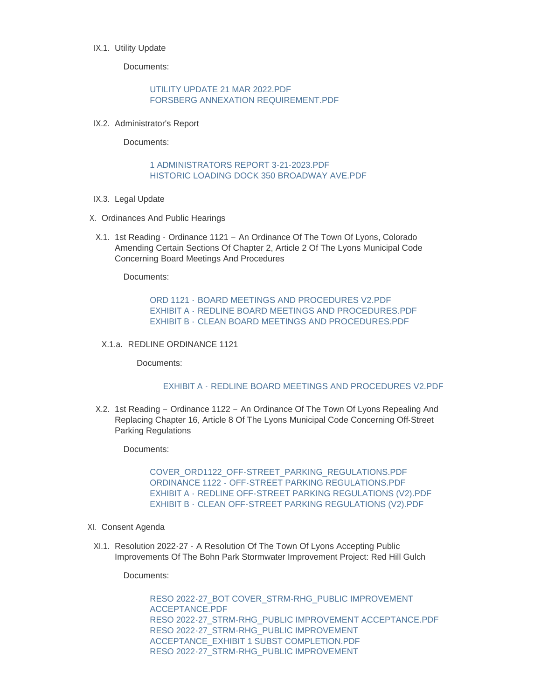### IX.1. Utility Update

Documents:

### [UTILITY UPDATE 21 MAR 2022.PDF](https://www.townoflyons.com/AgendaCenter/ViewFile/Item/9966?fileID=20779) [FORSBERG ANNEXATION REQUIREMENT.PDF](https://www.townoflyons.com/AgendaCenter/ViewFile/Item/9966?fileID=20780)

IX.2. Administrator's Report

Documents:

## [1 ADMINISTRATORS REPORT 3-21-2023.PDF](https://www.townoflyons.com/AgendaCenter/ViewFile/Item/9967?fileID=20781) [HISTORIC LOADING DOCK 350 BROADWAY AVE.PDF](https://www.townoflyons.com/AgendaCenter/ViewFile/Item/9967?fileID=20782)

- IX.3. Legal Update
- X. Ordinances And Public Hearings
	- X.1. 1st Reading Ordinance 1121 An Ordinance Of The Town Of Lyons, Colorado Amending Certain Sections Of Chapter 2, Article 2 Of The Lyons Municipal Code Concerning Board Meetings And Procedures

Documents:

ORD 1121 - [BOARD MEETINGS AND PROCEDURES V2.PDF](https://www.townoflyons.com/AgendaCenter/ViewFile/Item/9969?fileID=20762) EXHIBIT A - [REDLINE BOARD MEETINGS AND PROCEDURES.PDF](https://www.townoflyons.com/AgendaCenter/ViewFile/Item/9969?fileID=20764) EXHIBIT B - [CLEAN BOARD MEETINGS AND PROCEDURES.PDF](https://www.townoflyons.com/AgendaCenter/ViewFile/Item/9969?fileID=20763)

X.1.a. REDLINE ORDINANCE 1121

Documents:

#### EXHIBIT A - [REDLINE BOARD MEETINGS AND PROCEDURES V2.PDF](https://www.townoflyons.com/AgendaCenter/ViewFile/Item/10000?fileID=20811)

X.2. 1st Reading – Ordinance 1122 – An Ordinance Of The Town Of Lyons Repealing And Replacing Chapter 16, Article 8 Of The Lyons Municipal Code Concerning Off-Street Parking Regulations

Documents:

[COVER\\_ORD1122\\_OFF-STREET\\_PARKING\\_REGULATIONS.PDF](https://www.townoflyons.com/AgendaCenter/ViewFile/Item/9970?fileID=20768) ORDINANCE 1122 - [OFF-STREET PARKING REGULATIONS.PDF](https://www.townoflyons.com/AgendaCenter/ViewFile/Item/9970?fileID=20767) EXHIBIT A - [REDLINE OFF-STREET PARKING REGULATIONS \(V2\).PDF](https://www.townoflyons.com/AgendaCenter/ViewFile/Item/9970?fileID=20765) EXHIBIT B - [CLEAN OFF-STREET PARKING REGULATIONS \(V2\).PDF](https://www.townoflyons.com/AgendaCenter/ViewFile/Item/9970?fileID=20766)

- XI. Consent Agenda
- XI.1. Resolution 2022-27 A Resolution Of The Town Of Lyons Accepting Public Improvements Of The Bohn Park Stormwater Improvement Project: Red Hill Gulch

Documents:

[RESO 2022-27\\_BOT COVER\\_STRM-RHG\\_PUBLIC IMPROVEMENT](https://www.townoflyons.com/AgendaCenter/ViewFile/Item/9971?fileID=20772)  ACCEPTANCE.PDF [RESO 2022-27\\_STRM-RHG\\_PUBLIC IMPROVEMENT ACCEPTANCE.PDF](https://www.townoflyons.com/AgendaCenter/ViewFile/Item/9971?fileID=20769) [RESO 2022-27\\_STRM-RHG\\_PUBLIC IMPROVEMENT](https://www.townoflyons.com/AgendaCenter/ViewFile/Item/9971?fileID=20770)  ACCEPTANCE\_EXHIBIT 1 SUBST COMPLETION.PDF RESO 2022-27\_STRM-RHG\_PUBLIC IMPROVEMENT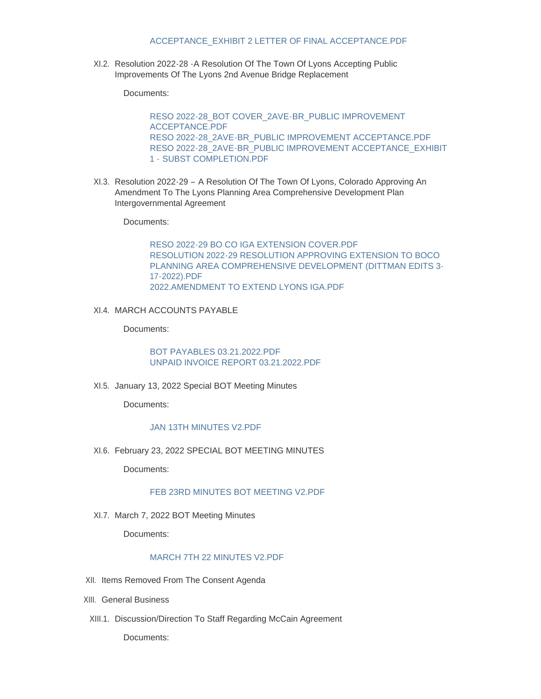#### ACCEPTANCE\_EXHIBIT 2 LETTER OF FINAL ACCEPTANCE.PDF

XI.2. Resolution 2022-28 - A Resolution Of The Town Of Lyons Accepting Public Improvements Of The Lyons 2nd Avenue Bridge Replacement

Documents:

[RESO 2022-28\\_BOT COVER\\_2AVE-BR\\_PUBLIC IMPROVEMENT](https://www.townoflyons.com/AgendaCenter/ViewFile/Item/9972?fileID=20775)  ACCEPTANCE.PDF [RESO 2022-28\\_2AVE-BR\\_PUBLIC IMPROVEMENT ACCEPTANCE.PDF](https://www.townoflyons.com/AgendaCenter/ViewFile/Item/9972?fileID=20773) [RESO 2022-28\\_2AVE-BR\\_PUBLIC IMPROVEMENT ACCEPTANCE\\_EXHIBIT](https://www.townoflyons.com/AgendaCenter/ViewFile/Item/9972?fileID=20774)  1 - SUBST COMPLETION.PDF

XI.3. Resolution 2022-29 - A Resolution Of The Town Of Lyons, Colorado Approving An Amendment To The Lyons Planning Area Comprehensive Development Plan Intergovernmental Agreement

Documents:

[RESO 2022-29 BO CO IGA EXTENSION COVER.PDF](https://www.townoflyons.com/AgendaCenter/ViewFile/Item/9973?fileID=20799) RESOLUTION 2022-29 RESOLUTION APPROVING EXTENSION TO BOCO [PLANNING AREA COMPREHENSIVE DEVELOPMENT \(DITTMAN EDITS 3-](https://www.townoflyons.com/AgendaCenter/ViewFile/Item/9973?fileID=20777) 17-2022).PDF [2022.AMENDMENT TO EXTEND LYONS IGA.PDF](https://www.townoflyons.com/AgendaCenter/ViewFile/Item/9973?fileID=20776)

XI.4. MARCH ACCOUNTS PAYABLE

Documents:

[BOT PAYABLES 03.21.2022.PDF](https://www.townoflyons.com/AgendaCenter/ViewFile/Item/9974?fileID=20760) [UNPAID INVOICE REPORT 03.21.2022.PDF](https://www.townoflyons.com/AgendaCenter/ViewFile/Item/9974?fileID=20761)

XI.5. January 13, 2022 Special BOT Meeting Minutes

Documents:

### [JAN 13TH MINUTES V2.PDF](https://www.townoflyons.com/AgendaCenter/ViewFile/Item/9975?fileID=20757)

XI.6. February 23, 2022 SPECIAL BOT MEETING MINUTES

Documents:

## [FEB 23RD MINUTES BOT MEETING V2.PDF](https://www.townoflyons.com/AgendaCenter/ViewFile/Item/9976?fileID=20758)

XI.7. March 7, 2022 BOT Meeting Minutes

Documents:

#### [MARCH 7TH 22 MINUTES V2.PDF](https://www.townoflyons.com/AgendaCenter/ViewFile/Item/9977?fileID=20759)

- XII. Items Removed From The Consent Agenda
- XIII. General Business
- XIII.1. Discussion/Direction To Staff Regarding McCain Agreement

Documents: